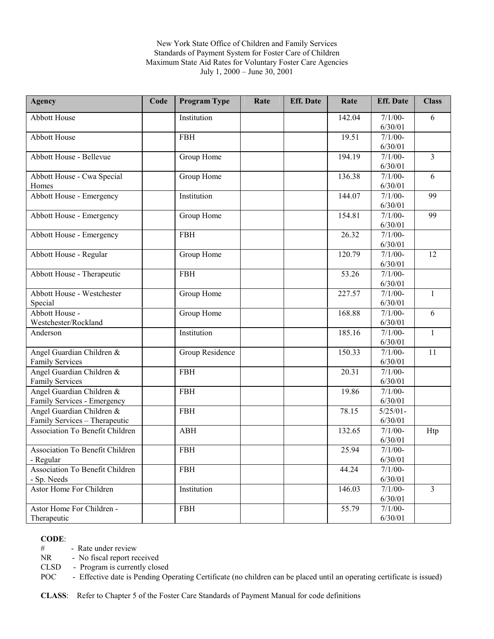### New York State Office of Children and Family Services Standards of Payment System for Foster Care of Children Maximum State Aid Rates for Voluntary Foster Care Agencies July 1, 2000 – June 30, 2001

| <b>Agency</b>                          | Code | <b>Program Type</b> | Rate | <b>Eff.</b> Date | Rate   | <b>Eff.</b> Date      | <b>Class</b>   |
|----------------------------------------|------|---------------------|------|------------------|--------|-----------------------|----------------|
| <b>Abbott House</b>                    |      | Institution         |      |                  | 142.04 | $7/1/00-$             | 6              |
|                                        |      |                     |      |                  |        | 6/30/01               |                |
| <b>Abbott House</b>                    |      | <b>FBH</b>          |      |                  | 19.51  | $7/1/00-$             |                |
|                                        |      |                     |      |                  |        | 6/30/01               |                |
| Abbott House - Bellevue                |      | Group Home          |      |                  | 194.19 | $7/1/00-$             | $\overline{3}$ |
|                                        |      |                     |      |                  |        | 6/30/01               |                |
| Abbott House - Cwa Special             |      | Group Home          |      |                  | 136.38 | $7/1/00-$             | 6              |
| Homes                                  |      |                     |      |                  |        | 6/30/01               |                |
| Abbott House - Emergency               |      | Institution         |      |                  | 144.07 | $7/1/00-$             | 99             |
|                                        |      |                     |      |                  |        | 6/30/01               |                |
| Abbott House - Emergency               |      | Group Home          |      |                  | 154.81 | $7/1/00-$             | 99             |
|                                        |      |                     |      |                  |        | 6/30/01               |                |
| Abbott House - Emergency               |      | <b>FBH</b>          |      |                  | 26.32  | $7/1/00-$             |                |
|                                        |      |                     |      |                  |        | 6/30/01               |                |
| Abbott House - Regular                 |      | Group Home          |      |                  | 120.79 | $7/1/00$ -            | 12             |
|                                        |      |                     |      |                  |        | 6/30/01               |                |
| Abbott House - Therapeutic             |      | <b>FBH</b>          |      |                  | 53.26  | $7/1/00-$             |                |
|                                        |      |                     |      |                  |        | 6/30/01               |                |
| Abbott House - Westchester             |      | Group Home          |      |                  | 227.57 | $7/1/00-$             | $\mathbf{1}$   |
| Special                                |      |                     |      |                  |        | 6/30/01               |                |
| Abbott House -                         |      | Group Home          |      |                  | 168.88 | $7/1/00-$             | 6              |
| Westchester/Rockland                   |      |                     |      |                  |        | 6/30/01               |                |
| Anderson                               |      | Institution         |      |                  | 185.16 | $7/1/00$ -            | $\mathbf{1}$   |
|                                        |      |                     |      |                  |        | 6/30/01               |                |
| Angel Guardian Children &              |      | Group Residence     |      |                  | 150.33 | $7/1/00$ -            | 11             |
| <b>Family Services</b>                 |      |                     |      |                  |        | 6/30/01               |                |
| Angel Guardian Children &              |      | <b>FBH</b>          |      |                  | 20.31  | $7/1/00-$             |                |
| <b>Family Services</b>                 |      |                     |      |                  |        | 6/30/01               |                |
| Angel Guardian Children &              |      | <b>FBH</b>          |      |                  | 19.86  | $7/1/00-$             |                |
| Family Services - Emergency            |      |                     |      |                  |        | 6/30/01               |                |
| Angel Guardian Children &              |      | <b>FBH</b>          |      |                  | 78.15  | $5/25/01 -$           |                |
| Family Services - Therapeutic          |      |                     |      |                  |        | 6/30/01               |                |
| <b>Association To Benefit Children</b> |      | <b>ABH</b>          |      |                  | 132.65 | $7/1/00-$             | Htp            |
|                                        |      |                     |      |                  |        | 6/30/01               |                |
| Association To Benefit Children        |      | <b>FBH</b>          |      |                  | 25.94  | $7/1/00 -$<br>6/30/01 |                |
| - Regular                              |      |                     |      |                  |        |                       |                |
| Association To Benefit Children        |      | <b>FBH</b>          |      |                  | 44.24  | $7/1/00 -$<br>6/30/01 |                |
| - Sp. Needs<br>Astor Home For Children |      |                     |      |                  | 146.03 |                       |                |
|                                        |      | Institution         |      |                  |        | $7/1/00-$<br>6/30/01  | 3              |
| Astor Home For Children -              |      |                     |      |                  | 55.79  | $7/1/00-$             |                |
| Therapeutic                            |      | <b>FBH</b>          |      |                  |        | 6/30/01               |                |
|                                        |      |                     |      |                  |        |                       |                |

#### **CODE**:

# - Rate under review

NR - No fiscal report received

CLSD - Program is currently closed

POC - Effective date is Pending Operating Certificate (no children can be placed until an operating certificate is issued)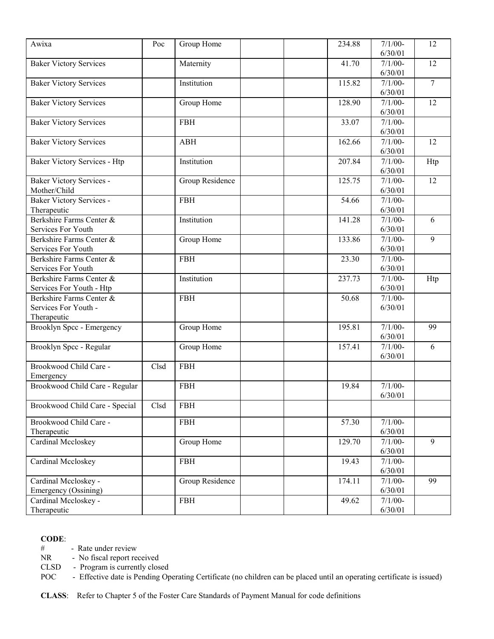| Awixa                               | Poc  | Group Home      | 234.88 | $7/1/00 -$ | 12     |
|-------------------------------------|------|-----------------|--------|------------|--------|
|                                     |      |                 |        | 6/30/01    |        |
| <b>Baker Victory Services</b>       |      | Maternity       | 41.70  | $7/1/00-$  | 12     |
|                                     |      |                 |        | 6/30/01    |        |
| <b>Baker Victory Services</b>       |      | Institution     | 115.82 | $7/1/00-$  | $\tau$ |
|                                     |      |                 |        | 6/30/01    |        |
| <b>Baker Victory Services</b>       |      | Group Home      | 128.90 | $7/1/00-$  | 12     |
|                                     |      |                 |        | 6/30/01    |        |
| <b>Baker Victory Services</b>       |      | <b>FBH</b>      | 33.07  | $7/1/00-$  |        |
|                                     |      |                 |        | 6/30/01    |        |
| <b>Baker Victory Services</b>       |      | <b>ABH</b>      | 162.66 | $7/1/00 -$ | 12     |
|                                     |      |                 |        | 6/30/01    |        |
| <b>Baker Victory Services - Htp</b> |      | Institution     | 207.84 | $7/1/00-$  | Htp    |
|                                     |      |                 |        | 6/30/01    |        |
| <b>Baker Victory Services -</b>     |      | Group Residence | 125.75 | $7/1/00-$  | 12     |
| Mother/Child                        |      |                 |        | 6/30/01    |        |
| <b>Baker Victory Services -</b>     |      | <b>FBH</b>      | 54.66  | $7/1/00-$  |        |
| Therapeutic                         |      |                 |        | 6/30/01    |        |
| Berkshire Farms Center &            |      | Institution     | 141.28 | $7/1/00-$  | 6      |
| Services For Youth                  |      |                 |        | 6/30/01    |        |
| Berkshire Farms Center &            |      | Group Home      | 133.86 | $7/1/00-$  | 9      |
| Services For Youth                  |      |                 |        | 6/30/01    |        |
| Berkshire Farms Center &            |      | <b>FBH</b>      | 23.30  | $7/1/00-$  |        |
| Services For Youth                  |      |                 |        | 6/30/01    |        |
| Berkshire Farms Center &            |      | Institution     | 237.73 | $7/1/00-$  | Htp    |
| Services For Youth - Htp            |      |                 |        | 6/30/01    |        |
| Berkshire Farms Center &            |      | <b>FBH</b>      | 50.68  | $7/1/00$ - |        |
| Services For Youth -                |      |                 |        | 6/30/01    |        |
|                                     |      |                 |        |            |        |
| Therapeutic                         |      |                 | 195.81 | $7/1/00-$  | 99     |
| Brooklyn Spcc - Emergency           |      | Group Home      |        | 6/30/01    |        |
|                                     |      |                 |        | $7/1/00-$  |        |
| Brooklyn Spcc - Regular             |      | Group Home      | 157.41 |            | 6      |
|                                     |      |                 |        | 6/30/01    |        |
| Brookwood Child Care -              | Clsd | <b>FBH</b>      |        |            |        |
| Emergency                           |      |                 |        |            |        |
| Brookwood Child Care - Regular      |      | <b>FBH</b>      | 19.84  | $7/1/00-$  |        |
|                                     |      |                 |        | 6/30/01    |        |
| Brookwood Child Care - Special      | Clsd | <b>FBH</b>      |        |            |        |
| Brookwood Child Care -              |      | ${\rm FBH}$     | 57.30  | $7/1/00-$  |        |
| Therapeutic                         |      |                 |        | 6/30/01    |        |
| Cardinal Mccloskey                  |      | Group Home      | 129.70 | $7/1/00-$  | 9      |
|                                     |      |                 |        | 6/30/01    |        |
| Cardinal Mccloskey                  |      | <b>FBH</b>      | 19.43  | $7/1/00-$  |        |
|                                     |      |                 |        | 6/30/01    |        |
| Cardinal Mccloskey -                |      | Group Residence | 174.11 | $7/1/00-$  | 99     |
| Emergency (Ossining)                |      |                 |        | 6/30/01    |        |
| Cardinal Mccloskey -                |      | <b>FBH</b>      | 49.62  | $7/1/00-$  |        |
| Therapeutic                         |      |                 |        | 6/30/01    |        |
|                                     |      |                 |        |            |        |

# - Rate under review<br>NR - No fiscal report re

- No fiscal report received

CLSD - Program is currently closed

POC - Effective date is Pending Operating Certificate (no children can be placed until an operating certificate is issued)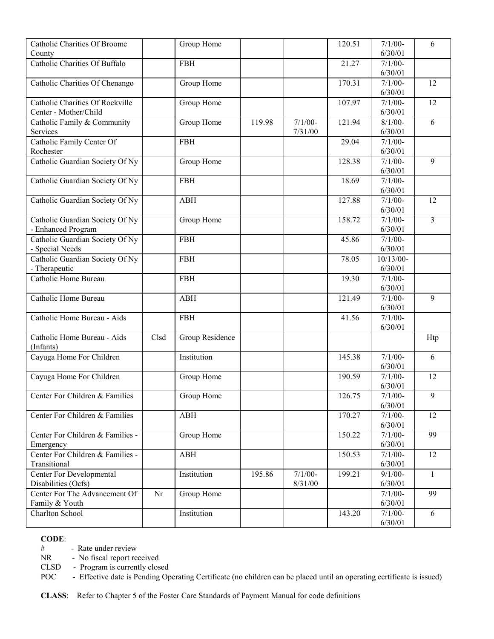| <b>Catholic Charities Of Broome</b>  |      | Group Home      |        |           | 120.51 | $7/1/00-$            | 6              |
|--------------------------------------|------|-----------------|--------|-----------|--------|----------------------|----------------|
| County                               |      |                 |        |           |        | 6/30/01              |                |
| <b>Catholic Charities Of Buffalo</b> |      | <b>FBH</b>      |        |           | 21.27  | $7/1/00-$            |                |
|                                      |      |                 |        |           |        | 6/30/01              |                |
| Catholic Charities Of Chenango       |      | Group Home      |        |           | 170.31 | $7/1/00-$            | 12             |
|                                      |      |                 |        |           |        | 6/30/01              |                |
| Catholic Charities Of Rockville      |      | Group Home      |        |           | 107.97 | $7/1/00-$            | 12             |
| Center - Mother/Child                |      |                 |        |           |        | 6/30/01              |                |
| Catholic Family & Community          |      | Group Home      | 119.98 | $7/1/00-$ | 121.94 | $8/1/00 -$           | 6              |
| Services                             |      |                 |        | 7/31/00   |        | 6/30/01              |                |
| Catholic Family Center Of            |      | <b>FBH</b>      |        |           | 29.04  | $7/1/00-$            |                |
| Rochester                            |      |                 |        |           |        | 6/30/01              |                |
| Catholic Guardian Society Of Ny      |      | Group Home      |        |           | 128.38 | $7/1/00-$            | 9              |
|                                      |      |                 |        |           |        | 6/30/01              |                |
| Catholic Guardian Society Of Ny      |      | <b>FBH</b>      |        |           | 18.69  | $7/1/00 -$           |                |
|                                      |      |                 |        |           |        | 6/30/01              |                |
| Catholic Guardian Society Of Ny      |      | <b>ABH</b>      |        |           | 127.88 | $7/1/00-$            | 12             |
|                                      |      |                 |        |           |        | 6/30/01              |                |
| Catholic Guardian Society Of Ny      |      | Group Home      |        |           | 158.72 | $7/1/00-$            | $\overline{3}$ |
| - Enhanced Program                   |      |                 |        |           |        | 6/30/01              |                |
| Catholic Guardian Society Of Ny      |      | <b>FBH</b>      |        |           | 45.86  | $7/1/00$ -           |                |
| - Special Needs                      |      |                 |        |           |        | 6/30/01              |                |
| Catholic Guardian Society Of Ny      |      | <b>FBH</b>      |        |           | 78.05  | 10/13/00-            |                |
| - Therapeutic                        |      |                 |        |           |        | 6/30/01              |                |
| Catholic Home Bureau                 |      | <b>FBH</b>      |        |           | 19.30  | $\frac{1}{7}/1/00$ - |                |
|                                      |      |                 |        |           |        | 6/30/01              |                |
| Catholic Home Bureau                 |      | <b>ABH</b>      |        |           | 121.49 | $7/1/00 -$           | 9              |
|                                      |      |                 |        |           |        | 6/30/01              |                |
| Catholic Home Bureau - Aids          |      | <b>FBH</b>      |        |           | 41.56  | $7/1/00-$            |                |
|                                      |      |                 |        |           |        | 6/30/01              |                |
| Catholic Home Bureau - Aids          | Clsd | Group Residence |        |           |        |                      | Htp            |
| (Infants)                            |      |                 |        |           |        |                      |                |
| Cayuga Home For Children             |      | Institution     |        |           | 145.38 | $7/1/00-$            | 6              |
|                                      |      |                 |        |           |        | 6/30/01              |                |
| Cayuga Home For Children             |      | Group Home      |        |           | 190.59 | $7/1/00$ -           | 12             |
|                                      |      |                 |        |           |        | 6/30/01              |                |
| Center For Children & Families       |      | Group Home      |        |           | 126.75 | $7/1/00-$            | 9              |
|                                      |      |                 |        |           |        | 6/30/01              |                |
| Center For Children & Families       |      | <b>ABH</b>      |        |           | 170.27 | $7/1/00-$            | 12             |
|                                      |      |                 |        |           |        | 6/30/01              |                |
| Center For Children & Families -     |      | Group Home      |        |           | 150.22 | $7/1/00-$            | 99             |
| Emergency                            |      |                 |        |           |        | 6/30/01              |                |
| Center For Children & Families -     |      | <b>ABH</b>      |        |           | 150.53 | $7/1/00-$            | 12             |
| Transitional                         |      |                 |        |           |        | 6/30/01              |                |
| <b>Center For Developmental</b>      |      | Institution     | 195.86 | $7/1/00-$ | 199.21 | $9/1/00-$            | $\mathbf{1}$   |
| Disabilities (Ocfs)                  |      |                 |        | 8/31/00   |        | 6/30/01              |                |
| Center For The Advancement Of        | Nr   | Group Home      |        |           |        | $7/1/00 -$           | 99             |
| Family & Youth                       |      |                 |        |           |        | 6/30/01              |                |
| Charlton School                      |      | Institution     |        |           | 143.20 | $7/1/00-$            | 6              |
|                                      |      |                 |        |           |        | 6/30/01              |                |

# - Rate under review<br>NR - No fiscal report re

- No fiscal report received

CLSD - Program is currently closed

POC - Effective date is Pending Operating Certificate (no children can be placed until an operating certificate is issued)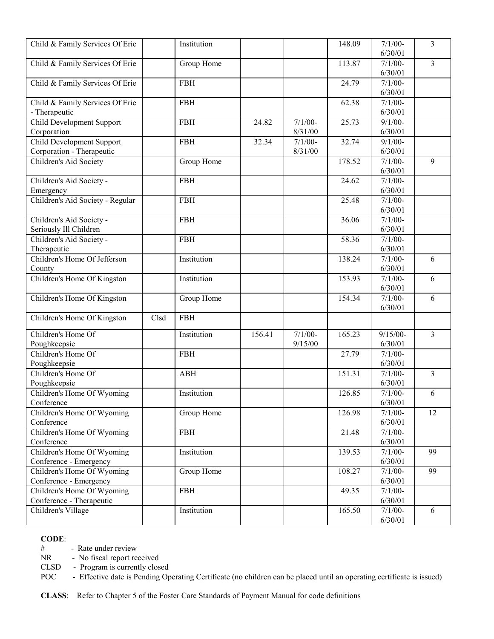| Child & Family Services Of Erie  |      | Institution |        |           | 148.09 | $7/1/00-$   | $\overline{3}$ |
|----------------------------------|------|-------------|--------|-----------|--------|-------------|----------------|
|                                  |      |             |        |           |        | 6/30/01     |                |
| Child & Family Services Of Erie  |      | Group Home  |        |           | 113.87 | $7/1/00$ -  | $\overline{3}$ |
|                                  |      |             |        |           |        | 6/30/01     |                |
| Child & Family Services Of Erie  |      | <b>FBH</b>  |        |           | 24.79  | $7/1/00-$   |                |
|                                  |      |             |        |           |        | 6/30/01     |                |
| Child & Family Services Of Erie  |      | <b>FBH</b>  |        |           | 62.38  | $7/1/00-$   |                |
| - Therapeutic                    |      |             |        |           |        | 6/30/01     |                |
| <b>Child Development Support</b> |      | <b>FBH</b>  | 24.82  | $7/1/00-$ | 25.73  | $9/1/00 -$  |                |
| Corporation                      |      |             |        | 8/31/00   |        | 6/30/01     |                |
| Child Development Support        |      | <b>FBH</b>  | 32.34  | $7/1/00-$ | 32.74  | $9/1/00-$   |                |
| Corporation - Therapeutic        |      |             |        | 8/31/00   |        | 6/30/01     |                |
| Children's Aid Society           |      | Group Home  |        |           | 178.52 | $7/1/00-$   | 9              |
|                                  |      |             |        |           |        | 6/30/01     |                |
| Children's Aid Society -         |      | <b>FBH</b>  |        |           | 24.62  | $7/1/00-$   |                |
| Emergency                        |      |             |        |           |        | 6/30/01     |                |
| Children's Aid Society - Regular |      | <b>FBH</b>  |        |           | 25.48  | $7/1/00-$   |                |
|                                  |      |             |        |           |        | 6/30/01     |                |
| Children's Aid Society -         |      | <b>FBH</b>  |        |           | 36.06  | $7/1/00-$   |                |
| Seriously Ill Children           |      |             |        |           |        | 6/30/01     |                |
| Children's Aid Society -         |      | <b>FBH</b>  |        |           | 58.36  | $7/1/00-$   |                |
| Therapeutic                      |      |             |        |           |        | 6/30/01     |                |
| Children's Home Of Jefferson     |      | Institution |        |           | 138.24 | $7/1/00-$   | 6              |
| County                           |      |             |        |           |        | 6/30/01     |                |
| Children's Home Of Kingston      |      | Institution |        |           | 153.93 | $7/1/00-$   | 6              |
|                                  |      |             |        |           |        | 6/30/01     |                |
| Children's Home Of Kingston      |      | Group Home  |        |           | 154.34 | $7/1/00-$   | 6              |
|                                  |      |             |        |           |        | 6/30/01     |                |
| Children's Home Of Kingston      | Clsd | <b>FBH</b>  |        |           |        |             |                |
| Children's Home Of               |      | Institution | 156.41 | $7/1/00-$ | 165.23 | $9/15/00 -$ | 3              |
| Poughkeepsie                     |      |             |        | 9/15/00   |        | 6/30/01     |                |
| Children's Home Of               |      | <b>FBH</b>  |        |           | 27.79  | $7/1/00-$   |                |
| Poughkeepsie                     |      |             |        |           |        | 6/30/01     |                |
| Children's Home Of               |      | <b>ABH</b>  |        |           | 151.31 | $7/1/00-$   | $\overline{3}$ |
| Poughkeepsie                     |      |             |        |           |        | 6/30/01     |                |
| Children's Home Of Wyoming       |      | Institution |        |           | 126.85 | $7/1/00-$   | 6              |
| Conference                       |      |             |        |           |        | 6/30/01     |                |
| Children's Home Of Wyoming       |      | Group Home  |        |           | 126.98 | $7/1/00 -$  | 12             |
| Conference                       |      |             |        |           |        | 6/30/01     |                |
| Children's Home Of Wyoming       |      | <b>FBH</b>  |        |           | 21.48  | $7/1/00-$   |                |
| Conference                       |      |             |        |           |        | 6/30/01     |                |
| Children's Home Of Wyoming       |      | Institution |        |           | 139.53 | $7/1/00-$   | 99             |
| Conference - Emergency           |      |             |        |           |        | 6/30/01     |                |
| Children's Home Of Wyoming       |      | Group Home  |        |           | 108.27 | $7/1/00-$   | 99             |
| Conference - Emergency           |      |             |        |           |        | 6/30/01     |                |
| Children's Home Of Wyoming       |      | <b>FBH</b>  |        |           | 49.35  | $7/1/00-$   |                |
| Conference - Therapeutic         |      |             |        |           |        | 6/30/01     |                |
| Children's Village               |      | Institution |        |           | 165.50 | $7/1/00-$   | 6              |
|                                  |      |             |        |           |        | 6/30/01     |                |

# - Rate under review<br>NR - No fiscal report re

- No fiscal report received

CLSD - Program is currently closed

POC - Effective date is Pending Operating Certificate (no children can be placed until an operating certificate is issued)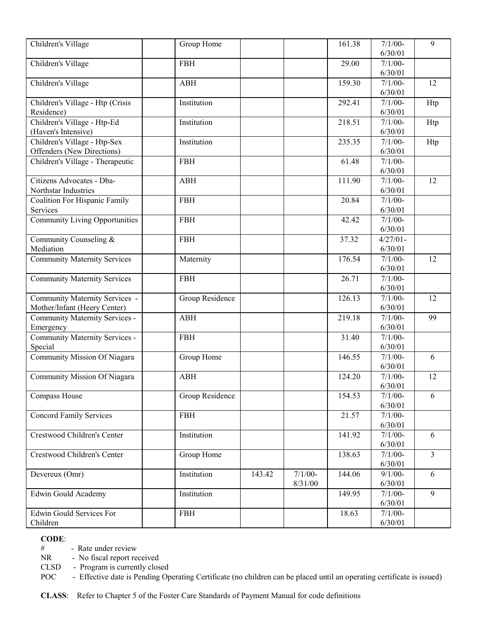| Children's Village                   | Group Home      |        |           | 161.38 | $7/1/00-$            | 9              |
|--------------------------------------|-----------------|--------|-----------|--------|----------------------|----------------|
|                                      |                 |        |           |        | 6/30/01              |                |
| Children's Village                   | <b>FBH</b>      |        |           | 29.00  | $7/1/00$ -           |                |
|                                      |                 |        |           |        | 6/30/01              |                |
| Children's Village                   | <b>ABH</b>      |        |           | 159.30 | $7/1/00$ -           | 12             |
|                                      |                 |        |           |        | 6/30/01              |                |
| Children's Village - Htp (Crisis     | Institution     |        |           | 292.41 | $7/1/00$ -           | Htp            |
| Residence)                           |                 |        |           |        | 6/30/01              |                |
| Children's Village - Htp-Ed          | Institution     |        |           | 218.51 | $7/1/00$ -           | Htp            |
| (Haven's Intensive)                  |                 |        |           |        | 6/30/01              |                |
| Children's Village - Htp-Sex         | Institution     |        |           | 235.35 | $7/1/00$ -           | Htp            |
| Offenders (New Directions)           |                 |        |           |        | 6/30/01              |                |
| Children's Village - Therapeutic     | <b>FBH</b>      |        |           | 61.48  | $7/1/00$ -           |                |
|                                      |                 |        |           |        | 6/30/01              |                |
| Citizens Advocates - Dba-            | <b>ABH</b>      |        |           | 111.90 | $7/1/00-$            | 12             |
| Northstar Industries                 |                 |        |           |        | 6/30/01              |                |
| <b>Coalition For Hispanic Family</b> | <b>FBH</b>      |        |           | 20.84  | $7/1/00-$            |                |
| Services                             |                 |        |           |        | 6/30/01              |                |
| Community Living Opportunities       | <b>FBH</b>      |        |           | 42.42  | $7/1/00-$<br>6/30/01 |                |
| Community Counseling &               | <b>FBH</b>      |        |           | 37.32  | $4/27/01 -$          |                |
| Mediation                            |                 |        |           |        | 6/30/01              |                |
| <b>Community Maternity Services</b>  | Maternity       |        |           | 176.54 | $7/1/00-$            | 12             |
|                                      |                 |        |           |        | 6/30/01              |                |
| <b>Community Maternity Services</b>  | <b>FBH</b>      |        |           | 26.71  | $7/1/00-$            |                |
|                                      |                 |        |           |        | 6/30/01              |                |
| Community Maternity Services -       | Group Residence |        |           | 126.13 | $7/1/00$ -           | 12             |
| Mother/Infant (Heery Center)         |                 |        |           |        | 6/30/01              |                |
| Community Maternity Services -       | <b>ABH</b>      |        |           | 219.18 | $7/1/00-$            | 99             |
| Emergency                            |                 |        |           |        | 6/30/01              |                |
| Community Maternity Services -       | <b>FBH</b>      |        |           | 31.40  | $7/1/00-$            |                |
| Special                              |                 |        |           |        | 6/30/01              |                |
| Community Mission Of Niagara         | Group Home      |        |           | 146.55 | $7/1/00-$            | 6              |
|                                      |                 |        |           |        | 6/30/01              |                |
| Community Mission Of Niagara         | <b>ABH</b>      |        |           | 124.20 | $7/1/00-$            | 12             |
|                                      |                 |        |           |        | 6/30/01              |                |
| Compass House                        | Group Residence |        |           | 154.53 | $7/1/00-$            | 6              |
|                                      |                 |        |           |        | 6/30/01              |                |
| Concord Family Services              | <b>FBH</b>      |        |           | 21.57  | $7/1/00 -$           |                |
|                                      |                 |        |           |        | 6/30/01              |                |
| Crestwood Children's Center          | Institution     |        |           | 141.92 | $7/1/00-$            | 6              |
| Crestwood Children's Center          |                 |        |           | 138.63 | 6/30/01<br>$7/1/00-$ | $\overline{3}$ |
|                                      | Group Home      |        |           |        | 6/30/01              |                |
| Devereux (Omr)                       | Institution     | 143.42 | $7/1/00-$ | 144.06 | $9/1/00 -$           | 6              |
|                                      |                 |        | 8/31/00   |        | 6/30/01              |                |
| <b>Edwin Gould Academy</b>           | Institution     |        |           | 149.95 | $7/1/00-$            | 9              |
|                                      |                 |        |           |        | 6/30/01              |                |
| <b>Edwin Gould Services For</b>      | <b>FBH</b>      |        |           | 18.63  | $7/1/00-$            |                |
| Children                             |                 |        |           |        | 6/30/01              |                |

# - Rate under review<br>NR - No fiscal report re

- No fiscal report received

CLSD - Program is currently closed

POC - Effective date is Pending Operating Certificate (no children can be placed until an operating certificate is issued)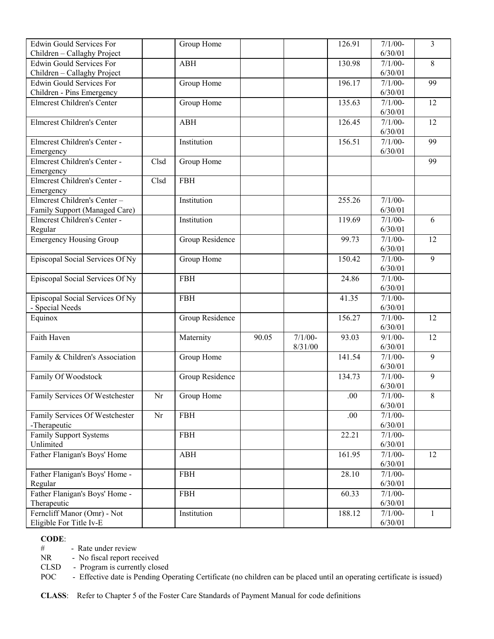| <b>Edwin Gould Services For</b>   |      | Group Home      |       |           | 126.91 | $7/1/00-$            | $\overline{3}$ |
|-----------------------------------|------|-----------------|-------|-----------|--------|----------------------|----------------|
| Children - Callaghy Project       |      |                 |       |           |        | 6/30/01              |                |
| <b>Edwin Gould Services For</b>   |      | <b>ABH</b>      |       |           | 130.98 | $7/1/00-$            | 8              |
| Children - Callaghy Project       |      |                 |       |           |        | 6/30/01              |                |
| <b>Edwin Gould Services For</b>   |      | Group Home      |       |           | 196.17 | $7/1/00-$            | 99             |
| Children - Pins Emergency         |      |                 |       |           |        | 6/30/01              |                |
| <b>Elmcrest Children's Center</b> |      | Group Home      |       |           | 135.63 | $7/1/00-$            | 12             |
|                                   |      |                 |       |           |        | 6/30/01              |                |
| <b>Elmcrest Children's Center</b> |      | <b>ABH</b>      |       |           | 126.45 | $7/1/00-$            | 12             |
|                                   |      |                 |       |           |        | 6/30/01              |                |
| Elmerest Children's Center -      |      | Institution     |       |           | 156.51 | $7/1/00-$            | 99             |
| Emergency                         |      |                 |       |           |        | 6/30/01              |                |
| Elmcrest Children's Center -      | Clsd | Group Home      |       |           |        |                      | 99             |
| Emergency                         |      |                 |       |           |        |                      |                |
| Elmcrest Children's Center -      | Clsd | <b>FBH</b>      |       |           |        |                      |                |
| Emergency                         |      |                 |       |           |        |                      |                |
| Elmerest Children's Center-       |      | Institution     |       |           | 255.26 | $7/1/00-$            |                |
| Family Support (Managed Care)     |      |                 |       |           |        | 6/30/01              |                |
| Elmcrest Children's Center -      |      | Institution     |       |           | 119.69 | $7/1/00-$            | 6              |
| Regular                           |      |                 |       |           |        | 6/30/01              |                |
| <b>Emergency Housing Group</b>    |      | Group Residence |       |           | 99.73  | $7/1/00-$            | 12             |
|                                   |      |                 |       |           |        | 6/30/01              |                |
| Episcopal Social Services Of Ny   |      | Group Home      |       |           | 150.42 | $7/1/00-$            | 9              |
|                                   |      |                 |       |           |        | 6/30/01              |                |
| Episcopal Social Services Of Ny   |      | <b>FBH</b>      |       |           | 24.86  | $\frac{1}{7}/1/00$ - |                |
|                                   |      |                 |       |           |        | 6/30/01              |                |
| Episcopal Social Services Of Ny   |      | <b>FBH</b>      |       |           | 41.35  | $7/1/00-$            |                |
| - Special Needs                   |      |                 |       |           |        | 6/30/01              |                |
| Equinox                           |      | Group Residence |       |           | 156.27 | $7/1/00-$            | 12             |
|                                   |      |                 |       |           |        | 6/30/01              |                |
| Faith Haven                       |      | Maternity       | 90.05 | $7/1/00-$ | 93.03  | $9/1/00$ -           | 12             |
|                                   |      |                 |       | 8/31/00   |        | 6/30/01              |                |
| Family & Children's Association   |      | Group Home      |       |           | 141.54 | $7/1/00-$            | $\overline{9}$ |
|                                   |      |                 |       |           |        | 6/30/01              |                |
| Family Of Woodstock               |      | Group Residence |       |           | 134.73 | $7/1/00-$            | 9              |
|                                   |      |                 |       |           |        | 6/30/01              |                |
| Family Services Of Westchester    | Nr   | Group Home      |       |           | .00    | $7/1/00 -$           | $\,8\,$        |
|                                   |      |                 |       |           |        | 6/30/01              |                |
| Family Services Of Westchester    | Nr   | <b>FBH</b>      |       |           | .00    | $7/1/00-$            |                |
| -Therapeutic                      |      |                 |       |           |        | 6/30/01              |                |
| <b>Family Support Systems</b>     |      | FBH             |       |           | 22.21  | $7/1/00-$            |                |
| Unlimited                         |      |                 |       |           |        | 6/30/01              |                |
| Father Flanigan's Boys' Home      |      | <b>ABH</b>      |       |           | 161.95 | $7/1/00-$            | 12             |
|                                   |      |                 |       |           |        | 6/30/01              |                |
| Father Flanigan's Boys' Home -    |      | <b>FBH</b>      |       |           | 28.10  | $7/1/00-$            |                |
| Regular                           |      |                 |       |           |        | 6/30/01              |                |
| Father Flanigan's Boys' Home -    |      | <b>FBH</b>      |       |           | 60.33  | $7/1/00-$            |                |
| Therapeutic                       |      |                 |       |           |        | 6/30/01              |                |
| Ferncliff Manor (Omr) - Not       |      | Institution     |       |           | 188.12 | $7/1/00-$            | 1              |
| Eligible For Title Iv-E           |      |                 |       |           |        | 6/30/01              |                |

# - Rate under review<br>NR - No fiscal report re

- No fiscal report received

CLSD - Program is currently closed

POC - Effective date is Pending Operating Certificate (no children can be placed until an operating certificate is issued)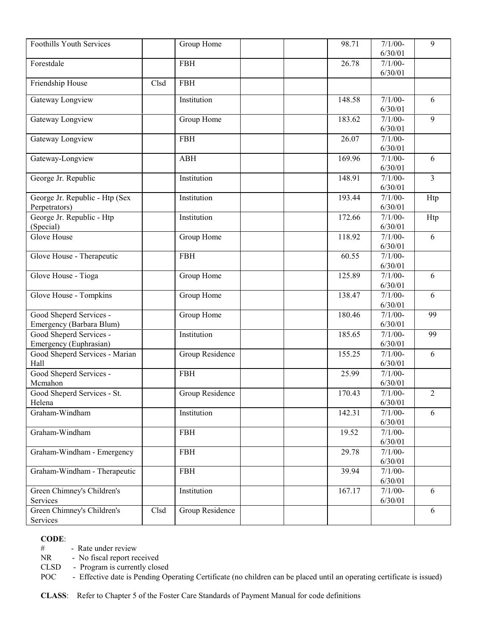| <b>Foothills Youth Services</b> |      | Group Home      | 98.71  | $7/1/00 -$           | 9              |
|---------------------------------|------|-----------------|--------|----------------------|----------------|
|                                 |      |                 |        | 6/30/01              |                |
| Forestdale                      |      | <b>FBH</b>      | 26.78  | $7/1/00-$            |                |
|                                 |      |                 |        | 6/30/01              |                |
| Friendship House                | Clsd | <b>FBH</b>      |        |                      |                |
|                                 |      |                 |        |                      |                |
| Gateway Longview                |      | Institution     | 148.58 | $7/1/00-$            | 6              |
|                                 |      |                 |        | 6/30/01              |                |
| Gateway Longview                |      | Group Home      | 183.62 | $7/1/00-$            | 9              |
|                                 |      |                 |        | 6/30/01              |                |
| Gateway Longview                |      | <b>FBH</b>      | 26.07  | $7/1/00-$            |                |
|                                 |      |                 |        | 6/30/01              |                |
| Gateway-Longview                |      | <b>ABH</b>      | 169.96 | $7/1/00 -$           | 6              |
|                                 |      |                 |        | 6/30/01              |                |
| George Jr. Republic             |      | Institution     | 148.91 | $7/1/00-$            | 3              |
|                                 |      |                 |        | 6/30/01              |                |
| George Jr. Republic - Htp (Sex  |      | Institution     | 193.44 | $7/1/00-$            | Htp            |
| Perpetrators)                   |      | Institution     | 172.66 | 6/30/01<br>$7/1/00-$ |                |
| George Jr. Republic - Htp       |      |                 |        | 6/30/01              | Htp            |
| (Special)<br><b>Glove House</b> |      | Group Home      | 118.92 | $7/1/00 -$           | 6              |
|                                 |      |                 |        | 6/30/01              |                |
| Glove House - Therapeutic       |      | <b>FBH</b>      | 60.55  | $7/1/00 -$           |                |
|                                 |      |                 |        | 6/30/01              |                |
| Glove House - Tioga             |      | Group Home      | 125.89 | $7/1/00 -$           | 6              |
|                                 |      |                 |        | 6/30/01              |                |
| Glove House - Tompkins          |      | Group Home      | 138.47 | $7/1/00 -$           | 6              |
|                                 |      |                 |        | 6/30/01              |                |
| Good Sheperd Services -         |      | Group Home      | 180.46 | $7/1/00-$            | 99             |
| Emergency (Barbara Blum)        |      |                 |        | 6/30/01              |                |
| Good Sheperd Services -         |      | Institution     | 185.65 | $7/1/00-$            | 99             |
| Emergency (Euphrasian)          |      |                 |        | 6/30/01              |                |
| Good Sheperd Services - Marian  |      | Group Residence | 155.25 | $7/1/00-$            | 6              |
| Hall                            |      |                 |        | 6/30/01              |                |
| Good Sheperd Services -         |      | <b>FBH</b>      | 25.99  | $7/1/00 -$           |                |
| Mcmahon                         |      |                 |        | 6/30/01              |                |
| Good Sheperd Services - St.     |      | Group Residence | 170.43 | $7/1/00 -$           | $\overline{2}$ |
| Helena                          |      |                 |        | 6/30/01              |                |
| Graham-Windham                  |      | Institution     | 142.31 | $7/1/00-$            | 6              |
|                                 |      |                 |        | 6/30/01              |                |
| Graham-Windham                  |      | <b>FBH</b>      | 19.52  | $7/1/00-$            |                |
|                                 |      |                 |        | 6/30/01              |                |
| Graham-Windham - Emergency      |      | <b>FBH</b>      | 29.78  | $7/1/00-$            |                |
|                                 |      |                 |        | 6/30/01              |                |
| Graham-Windham - Therapeutic    |      | <b>FBH</b>      | 39.94  | $7/1/00-$            |                |
|                                 |      |                 |        | 6/30/01              |                |
| Green Chimney's Children's      |      | Institution     | 167.17 | $7/1/00-$            | 6              |
| Services                        |      |                 |        | 6/30/01              |                |
| Green Chimney's Children's      | Clsd | Group Residence |        |                      | 6              |
| Services                        |      |                 |        |                      |                |

# - Rate under review<br>NR - No fiscal report re

- No fiscal report received

CLSD - Program is currently closed

POC - Effective date is Pending Operating Certificate (no children can be placed until an operating certificate is issued)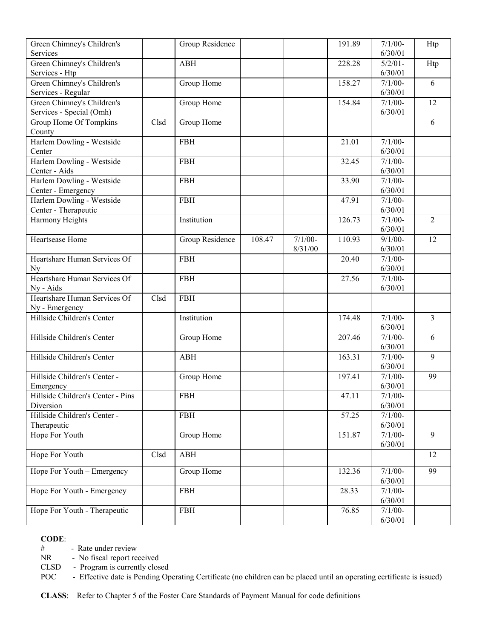| Green Chimney's Children's                     |      | Group Residence |        |           | 191.89 | $7/1/00-$            | Htp            |
|------------------------------------------------|------|-----------------|--------|-----------|--------|----------------------|----------------|
| Services                                       |      |                 |        |           |        | 6/30/01              |                |
| Green Chimney's Children's                     |      | <b>ABH</b>      |        |           | 228.28 | $5/2/01 -$           | Htp            |
| Services - Htp                                 |      |                 |        |           |        | 6/30/01              |                |
| Green Chimney's Children's                     |      | Group Home      |        |           | 158.27 | $7/1/00-$            | 6              |
| Services - Regular                             |      |                 |        |           |        | 6/30/01              |                |
| Green Chimney's Children's                     |      | Group Home      |        |           | 154.84 | $7/1/00-$            | 12             |
| Services - Special (Omh)                       |      |                 |        |           |        | 6/30/01              |                |
| Group Home Of Tompkins                         | Clsd | Group Home      |        |           |        |                      | 6              |
| County                                         |      |                 |        |           |        |                      |                |
| Harlem Dowling - Westside                      |      | <b>FBH</b>      |        |           | 21.01  | $7/1/00-$            |                |
| Center                                         |      |                 |        |           |        | 6/30/01              |                |
| Harlem Dowling - Westside                      |      | <b>FBH</b>      |        |           | 32.45  | $7/1/00-$            |                |
| Center - Aids                                  |      |                 |        |           |        | 6/30/01              |                |
| Harlem Dowling - Westside                      |      | <b>FBH</b>      |        |           | 33.90  | $7/1/00-$            |                |
| Center - Emergency                             |      |                 |        |           |        | 6/30/01              |                |
| Harlem Dowling - Westside                      |      | <b>FBH</b>      |        |           | 47.91  | $7/1/00-$            |                |
| Center - Therapeutic                           |      |                 |        |           |        | 6/30/01              |                |
| Harmony Heights                                |      | Institution     |        |           | 126.73 | $7/1/00-$            | $\overline{2}$ |
|                                                |      |                 |        |           |        | 6/30/01              |                |
| Heartsease Home                                |      | Group Residence | 108.47 | $7/1/00-$ | 110.93 | $9/1/00-$            | 12             |
|                                                |      |                 |        | 8/31/00   |        | 6/30/01              |                |
| Heartshare Human Services Of                   |      | <b>FBH</b>      |        |           | 20.40  | $7/1/00-$            |                |
| <b>Ny</b>                                      |      |                 |        |           |        | 6/30/01              |                |
| Heartshare Human Services Of                   |      | <b>FBH</b>      |        |           | 27.56  | $7/1/00-$            |                |
| Ny - Aids                                      |      |                 |        |           |        | 6/30/01              |                |
| Heartshare Human Services Of                   | Clsd | <b>FBH</b>      |        |           |        |                      |                |
| Ny - Emergency                                 |      |                 |        |           |        |                      |                |
| Hillside Children's Center                     |      | Institution     |        |           | 174.48 | $7/1/00-$            | $\overline{3}$ |
|                                                |      |                 |        |           |        | 6/30/01              |                |
| Hillside Children's Center                     |      | Group Home      |        |           | 207.46 | $7/1/00-$            | 6              |
|                                                |      |                 |        |           |        | 6/30/01              | $\overline{9}$ |
| Hillside Children's Center                     |      | ABH             |        |           | 163.31 | $7/1/00-$            |                |
| Hillside Children's Center -                   |      |                 |        |           | 197.41 | 6/30/01<br>$7/1/00-$ | 99             |
|                                                |      | Group Home      |        |           |        | 6/30/01              |                |
| Emergency<br>Hillside Children's Center - Pins |      | <b>FBH</b>      |        |           | 47.11  | $7/1/00-$            |                |
| Diversion                                      |      |                 |        |           |        | 6/30/01              |                |
| Hillside Children's Center -                   |      | <b>FBH</b>      |        |           | 57.25  | $7/1/00-$            |                |
| Therapeutic                                    |      |                 |        |           |        | 6/30/01              |                |
| Hope For Youth                                 |      | Group Home      |        |           | 151.87 | $7/1/00 -$           | 9              |
|                                                |      |                 |        |           |        | 6/30/01              |                |
| Hope For Youth                                 | Clsd | ABH             |        |           |        |                      | 12             |
|                                                |      |                 |        |           |        |                      |                |
| Hope For Youth - Emergency                     |      | Group Home      |        |           | 132.36 | $7/1/00-$            | 99             |
|                                                |      |                 |        |           |        | 6/30/01              |                |
| Hope For Youth - Emergency                     |      | <b>FBH</b>      |        |           | 28.33  | $7/1/00-$            |                |
|                                                |      |                 |        |           |        | 6/30/01              |                |
| Hope For Youth - Therapeutic                   |      | <b>FBH</b>      |        |           | 76.85  | $7/1/00-$            |                |
|                                                |      |                 |        |           |        | 6/30/01              |                |

# - Rate under review

NR - No fiscal report received

CLSD - Program is currently closed

POC - Effective date is Pending Operating Certificate (no children can be placed until an operating certificate is issued)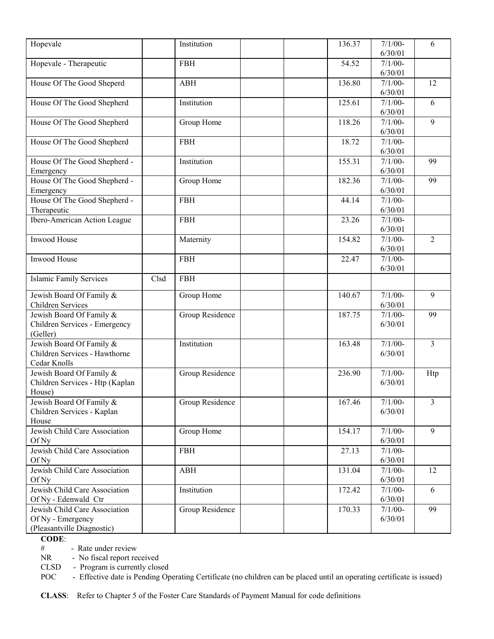| Hopevale                        |      | Institution     | 136.37 | $7/1/00-$ | 6              |
|---------------------------------|------|-----------------|--------|-----------|----------------|
|                                 |      |                 |        | 6/30/01   |                |
| Hopevale - Therapeutic          |      | <b>FBH</b>      | 54.52  | $7/1/00-$ |                |
|                                 |      |                 |        | 6/30/01   |                |
| House Of The Good Sheperd       |      | <b>ABH</b>      | 136.80 | $7/1/00-$ | 12             |
|                                 |      |                 |        | 6/30/01   |                |
| House Of The Good Shepherd      |      | Institution     | 125.61 | $7/1/00-$ | 6              |
|                                 |      |                 |        | 6/30/01   |                |
| House Of The Good Shepherd      |      | Group Home      | 118.26 | $7/1/00-$ | 9              |
|                                 |      |                 |        | 6/30/01   |                |
| House Of The Good Shepherd      |      | <b>FBH</b>      | 18.72  | $7/1/00-$ |                |
|                                 |      |                 |        | 6/30/01   |                |
| House Of The Good Shepherd -    |      | Institution     | 155.31 | $7/1/00-$ | 99             |
| Emergency                       |      |                 |        | 6/30/01   |                |
| House Of The Good Shepherd -    |      | Group Home      | 182.36 | $7/1/00-$ | 99             |
| Emergency                       |      |                 |        | 6/30/01   |                |
| House Of The Good Shepherd -    |      | <b>FBH</b>      | 44.14  | $7/1/00-$ |                |
| Therapeutic                     |      |                 |        | 6/30/01   |                |
| Ibero-American Action League    |      | <b>FBH</b>      | 23.26  | $7/1/00-$ |                |
|                                 |      |                 |        | 6/30/01   |                |
| Inwood House                    |      | Maternity       | 154.82 | $7/1/00-$ | $\overline{2}$ |
|                                 |      |                 |        | 6/30/01   |                |
| Inwood House                    |      | <b>FBH</b>      | 22.47  | $7/1/00-$ |                |
|                                 |      |                 |        | 6/30/01   |                |
| <b>Islamic Family Services</b>  | Clsd | <b>FBH</b>      |        |           |                |
| Jewish Board Of Family &        |      | Group Home      | 140.67 | $7/1/00-$ | 9              |
| <b>Children Services</b>        |      |                 |        | 6/30/01   |                |
| Jewish Board Of Family &        |      | Group Residence | 187.75 | $7/1/00-$ | 99             |
| Children Services - Emergency   |      |                 |        | 6/30/01   |                |
| (Geller)                        |      |                 |        |           |                |
| Jewish Board Of Family &        |      | Institution     | 163.48 | $7/1/00-$ | $\overline{3}$ |
| Children Services - Hawthorne   |      |                 |        | 6/30/01   |                |
| Cedar Knolls                    |      |                 |        |           |                |
| Jewish Board Of Family &        |      | Group Residence | 236.90 | $7/1/00-$ | Htp            |
| Children Services - Htp (Kaplan |      |                 |        | 6/30/01   |                |
| House)                          |      |                 |        |           |                |
| Jewish Board Of Family &        |      | Group Residence | 167.46 | $7/1/00-$ | 3              |
| Children Services - Kaplan      |      |                 |        | 6/30/01   |                |
| House                           |      |                 |        |           |                |
| Jewish Child Care Association   |      | Group Home      | 154.17 | $7/1/00-$ | 9              |
| Of Ny                           |      |                 |        | 6/30/01   |                |
| Jewish Child Care Association   |      | <b>FBH</b>      | 27.13  | $7/1/00-$ |                |
| Of Ny                           |      |                 |        | 6/30/01   |                |
| Jewish Child Care Association   |      | <b>ABH</b>      | 131.04 | $7/1/00-$ | 12             |
| Of Ny                           |      |                 |        | 6/30/01   |                |
| Jewish Child Care Association   |      | Institution     | 172.42 | $7/1/00-$ | 6              |
| Of Ny - Edenwald Ctr            |      |                 |        | 6/30/01   |                |
| Jewish Child Care Association   |      | Group Residence | 170.33 | $7/1/00-$ | 99             |
| Of Ny - Emergency               |      |                 |        | 6/30/01   |                |
| (Pleasantville Diagnostic)      |      |                 |        |           |                |
|                                 |      |                 |        |           |                |

# - Rate under review<br>NR - No fiscal report re

- No fiscal report received

CLSD - Program is currently closed

POC - Effective date is Pending Operating Certificate (no children can be placed until an operating certificate is issued)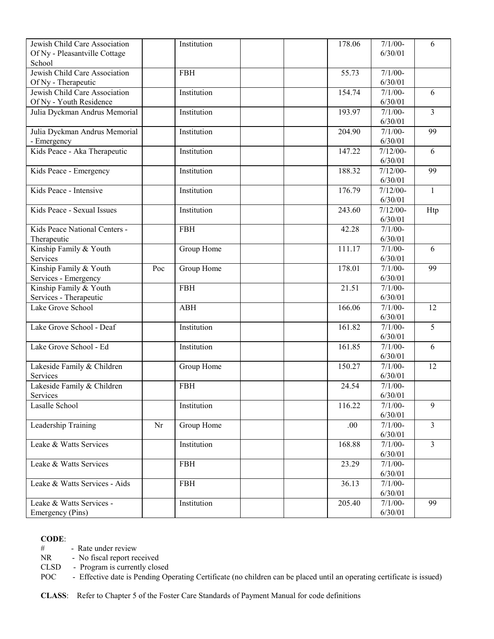| Jewish Child Care Association           |     | Institution |  | 178.06 | $7/1/00-$  | 6              |
|-----------------------------------------|-----|-------------|--|--------|------------|----------------|
|                                         |     |             |  |        | 6/30/01    |                |
| Of Ny - Pleasantville Cottage<br>School |     |             |  |        |            |                |
|                                         |     |             |  |        |            |                |
| Jewish Child Care Association           |     | <b>FBH</b>  |  | 55.73  | $7/1/00-$  |                |
| Of Ny - Therapeutic                     |     |             |  |        | 6/30/01    |                |
| Jewish Child Care Association           |     | Institution |  | 154.74 | $7/1/00-$  | 6              |
| Of Ny - Youth Residence                 |     |             |  |        | 6/30/01    |                |
| Julia Dyckman Andrus Memorial           |     | Institution |  | 193.97 | $7/1/00-$  | 3              |
|                                         |     |             |  |        | 6/30/01    |                |
| Julia Dyckman Andrus Memorial           |     | Institution |  | 204.90 | $7/1/00-$  | 99             |
| - Emergency                             |     |             |  |        | 6/30/01    |                |
| Kids Peace - Aka Therapeutic            |     | Institution |  | 147.22 | $7/12/00-$ | 6              |
|                                         |     |             |  |        | 6/30/01    |                |
| Kids Peace - Emergency                  |     | Institution |  | 188.32 | $7/12/00-$ | 99             |
|                                         |     |             |  |        | 6/30/01    |                |
| Kids Peace - Intensive                  |     | Institution |  | 176.79 | $7/12/00-$ | 1              |
|                                         |     |             |  |        | 6/30/01    |                |
| Kids Peace - Sexual Issues              |     | Institution |  | 243.60 | $7/12/00-$ |                |
|                                         |     |             |  |        |            | Htp            |
|                                         |     |             |  |        | 6/30/01    |                |
| Kids Peace National Centers -           |     | <b>FBH</b>  |  | 42.28  | $7/1/00-$  |                |
| Therapeutic                             |     |             |  |        | 6/30/01    |                |
| Kinship Family & Youth                  |     | Group Home  |  | 111.17 | $7/1/00-$  | 6              |
| Services                                |     |             |  |        | 6/30/01    |                |
| Kinship Family & Youth                  | Poc | Group Home  |  | 178.01 | $7/1/00-$  | 99             |
| Services - Emergency                    |     |             |  |        | 6/30/01    |                |
| Kinship Family & Youth                  |     | <b>FBH</b>  |  | 21.51  | $7/1/00-$  |                |
| Services - Therapeutic                  |     |             |  |        | 6/30/01    |                |
| Lake Grove School                       |     | <b>ABH</b>  |  | 166.06 | $7/1/00-$  | 12             |
|                                         |     |             |  |        | 6/30/01    |                |
| Lake Grove School - Deaf                |     | Institution |  | 161.82 | $7/1/00-$  | 5              |
|                                         |     |             |  |        | 6/30/01    |                |
| Lake Grove School - Ed                  |     | Institution |  | 161.85 | $7/1/00-$  | 6              |
|                                         |     |             |  |        | 6/30/01    |                |
| Lakeside Family & Children              |     | Group Home  |  | 150.27 | $7/1/00-$  | 12             |
| Services                                |     |             |  |        | 6/30/01    |                |
|                                         |     | <b>FBH</b>  |  | 24.54  | $7/1/00 -$ |                |
| Lakeside Family & Children              |     |             |  |        |            |                |
| Services                                |     |             |  |        | 6/30/01    |                |
| Lasalle School                          |     | Institution |  | 116.22 | $7/1/00-$  | 9              |
|                                         |     |             |  |        | 6/30/01    |                |
| Leadership Training                     | Nr  | Group Home  |  | .00.   | $7/1/00-$  | $\overline{3}$ |
|                                         |     |             |  |        | 6/30/01    |                |
| Leake & Watts Services                  |     | Institution |  | 168.88 | $7/1/00-$  | $\overline{3}$ |
|                                         |     |             |  |        | 6/30/01    |                |
| Leake & Watts Services                  |     | <b>FBH</b>  |  | 23.29  | $7/1/00-$  |                |
|                                         |     |             |  |        | 6/30/01    |                |
| Leake & Watts Services - Aids           |     | <b>FBH</b>  |  | 36.13  | $7/1/00-$  |                |
|                                         |     |             |  |        | 6/30/01    |                |
| Leake & Watts Services -                |     | Institution |  | 205.40 | $7/1/00-$  | 99             |
| Emergency (Pins)                        |     |             |  |        | 6/30/01    |                |
|                                         |     |             |  |        |            |                |

# - Rate under review<br>NR - No fiscal report re

- No fiscal report received

CLSD - Program is currently closed

POC - Effective date is Pending Operating Certificate (no children can be placed until an operating certificate is issued)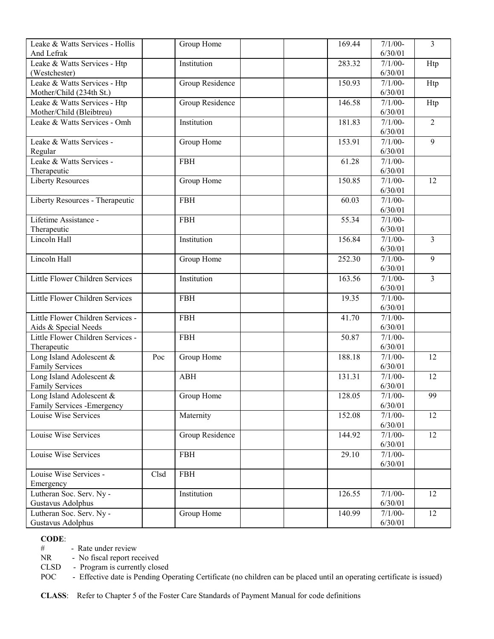| Leake & Watts Services - Hollis               |      | Group Home      | 169.44 | $7/1/00-$            | $\overline{3}$ |
|-----------------------------------------------|------|-----------------|--------|----------------------|----------------|
| And Lefrak                                    |      |                 |        | 6/30/01              |                |
| Leake & Watts Services - Htp                  |      | Institution     | 283.32 | $7/1/00-$            | Htp            |
| (Westchester)                                 |      |                 |        | 6/30/01              |                |
| Leake & Watts Services - Htp                  |      | Group Residence | 150.93 | $7/1/00-$            | Htp            |
| Mother/Child (234th St.)                      |      |                 |        | 6/30/01              |                |
| Leake & Watts Services - Htp                  |      | Group Residence | 146.58 | $7/1/00-$            | Htp            |
| Mother/Child (Bleibtreu)                      |      |                 |        | 6/30/01              |                |
| Leake & Watts Services - Omh                  |      | Institution     | 181.83 | $7/1/00-$            | $\overline{2}$ |
|                                               |      |                 |        | 6/30/01              |                |
| Leake & Watts Services -                      |      | Group Home      | 153.91 | $7/1/00-$            | 9              |
| Regular                                       |      |                 |        | 6/30/01              |                |
| Leake & Watts Services -                      |      | <b>FBH</b>      | 61.28  | $7/1/00-$            |                |
| Therapeutic                                   |      |                 |        | 6/30/01              |                |
| <b>Liberty Resources</b>                      |      | Group Home      | 150.85 | $7/1/00-$            | 12             |
|                                               |      |                 |        | 6/30/01              |                |
| Liberty Resources - Therapeutic               |      | <b>FBH</b>      | 60.03  | $7/1/00-$            |                |
|                                               |      |                 |        | 6/30/01              |                |
| Lifetime Assistance -                         |      | <b>FBH</b>      | 55.34  | $7/1/00-$            |                |
| Therapeutic                                   |      |                 |        | 6/30/01              |                |
| Lincoln Hall                                  |      | Institution     | 156.84 | $7/1/00-$            | $\overline{3}$ |
|                                               |      |                 |        | 6/30/01              |                |
| Lincoln Hall                                  |      | Group Home      | 252.30 | $7/1/00-$            | 9              |
|                                               |      |                 |        | 6/30/01              |                |
| Little Flower Children Services               |      | Institution     | 163.56 | $7/1/00-$<br>6/30/01 | $\overline{3}$ |
| Little Flower Children Services               |      | <b>FBH</b>      | 19.35  | $7/1/00-$            |                |
|                                               |      |                 |        | 6/30/01              |                |
| Little Flower Children Services -             |      | <b>FBH</b>      | 41.70  | $7/1/00 -$           |                |
| Aids & Special Needs                          |      |                 |        | 6/30/01              |                |
| Little Flower Children Services -             |      | <b>FBH</b>      | 50.87  | $7/1/00-$            |                |
| Therapeutic                                   |      |                 |        | 6/30/01              |                |
| Long Island Adolescent &                      | Poc  | Group Home      | 188.18 | $7/1/00-$            | 12             |
| <b>Family Services</b>                        |      |                 |        | 6/30/01              |                |
| Long Island Adolescent &                      |      | <b>ABH</b>      | 131.31 | $7/1/00-$            | 12             |
| <b>Family Services</b>                        |      |                 |        | 6/30/01              |                |
| Long Island Adolescent &                      |      | Group Home      | 128.05 | $7/1/00-$            | 99             |
| Family Services - Emergency                   |      |                 |        | 6/30/01              |                |
| Louise Wise Services                          |      | Maternity       | 152.08 | $7/1/00-$            | 12             |
|                                               |      |                 |        | 6/30/01              |                |
| Louise Wise Services                          |      | Group Residence | 144.92 | $7/1/00-$            | 12             |
|                                               |      |                 |        | 6/30/01              |                |
| Louise Wise Services                          |      | FBH             | 29.10  | $7/1/00-$            |                |
|                                               |      |                 |        | 6/30/01              |                |
| Louise Wise Services -                        | Clsd | <b>FBH</b>      |        |                      |                |
| Emergency                                     |      |                 |        |                      |                |
| Lutheran Soc. Serv. Ny -                      |      | Institution     | 126.55 | $7/1/00-$            | 12             |
| Gustavus Adolphus                             |      |                 |        | 6/30/01              |                |
| Lutheran Soc. Serv. Ny -<br>Gustavus Adolphus |      | Group Home      | 140.99 | $7/1/00-$<br>6/30/01 | 12             |
|                                               |      |                 |        |                      |                |

# - Rate under review<br>NR - No fiscal report re

- No fiscal report received

CLSD - Program is currently closed

POC - Effective date is Pending Operating Certificate (no children can be placed until an operating certificate is issued)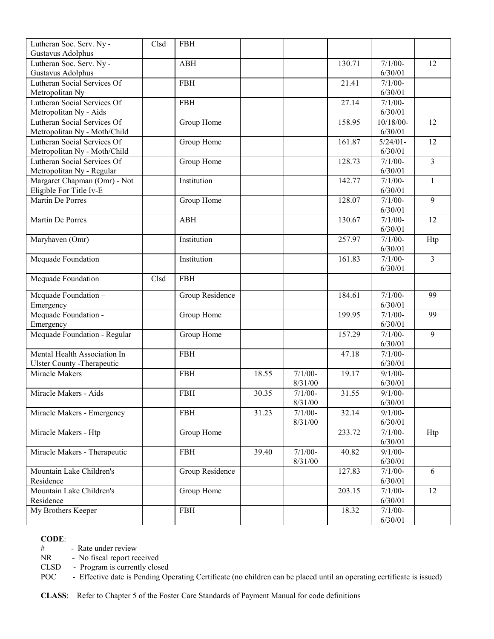| Lutheran Soc. Serv. Ny -           | Clsd | <b>FBH</b>      |       |           |        |             |                 |
|------------------------------------|------|-----------------|-------|-----------|--------|-------------|-----------------|
| Gustavus Adolphus                  |      |                 |       |           |        |             |                 |
| Lutheran Soc. Serv. Ny -           |      | <b>ABH</b>      |       |           | 130.71 | $7/1/00-$   | 12              |
| Gustavus Adolphus                  |      |                 |       |           |        | 6/30/01     |                 |
| Lutheran Social Services Of        |      | <b>FBH</b>      |       |           | 21.41  | $7/1/00-$   |                 |
| Metropolitan Ny                    |      |                 |       |           |        | 6/30/01     |                 |
| Lutheran Social Services Of        |      | <b>FBH</b>      |       |           | 27.14  | $7/1/00-$   |                 |
| Metropolitan Ny - Aids             |      |                 |       |           |        | 6/30/01     |                 |
| Lutheran Social Services Of        |      | Group Home      |       |           | 158.95 | $10/18/00-$ | 12              |
| Metropolitan Ny - Moth/Child       |      |                 |       |           |        | 6/30/01     |                 |
| Lutheran Social Services Of        |      | Group Home      |       |           | 161.87 | $5/24/01 -$ | $\overline{12}$ |
| Metropolitan Ny - Moth/Child       |      |                 |       |           |        | 6/30/01     |                 |
| Lutheran Social Services Of        |      | Group Home      |       |           | 128.73 | $7/1/00-$   | $\overline{3}$  |
| Metropolitan Ny - Regular          |      |                 |       |           |        | 6/30/01     |                 |
| Margaret Chapman (Omr) - Not       |      | Institution     |       |           | 142.77 | $7/1/00-$   | $\mathbf{1}$    |
| Eligible For Title Iv-E            |      |                 |       |           |        | 6/30/01     |                 |
| Martin De Porres                   |      | Group Home      |       |           | 128.07 | $7/1/00-$   | 9               |
|                                    |      |                 |       |           |        | 6/30/01     |                 |
| Martin De Porres                   |      | <b>ABH</b>      |       |           | 130.67 | $7/1/00-$   | 12              |
|                                    |      |                 |       |           |        | 6/30/01     |                 |
| Maryhaven (Omr)                    |      | Institution     |       |           | 257.97 | $7/1/00-$   | Htp             |
|                                    |      |                 |       |           |        | 6/30/01     |                 |
| Mcquade Foundation                 |      | Institution     |       |           | 161.83 | $7/1/00-$   | $\overline{3}$  |
|                                    |      |                 |       |           |        | 6/30/01     |                 |
| Mcquade Foundation                 | Clsd | <b>FBH</b>      |       |           |        |             |                 |
| Mcquade Foundation -               |      | Group Residence |       |           | 184.61 | $7/1/00-$   | 99              |
| Emergency                          |      |                 |       |           |        | 6/30/01     |                 |
| Mcquade Foundation -               |      | Group Home      |       |           | 199.95 | $7/1/00-$   | 99              |
| Emergency                          |      |                 |       |           |        | 6/30/01     |                 |
| Mcquade Foundation - Regular       |      | Group Home      |       |           | 157.29 | $7/1/00-$   | 9               |
|                                    |      |                 |       |           |        | 6/30/01     |                 |
| Mental Health Association In       |      | <b>FBH</b>      |       |           | 47.18  | $7/1/00 -$  |                 |
| <b>Ulster County - Therapeutic</b> |      |                 |       |           |        | 6/30/01     |                 |
| Miracle Makers                     |      | <b>FBH</b>      | 18.55 | $7/1/00-$ | 19.17  | $9/1/00$ -  |                 |
|                                    |      |                 |       | 8/31/00   |        | 6/30/01     |                 |
| Miracle Makers - Aids              |      | <b>FBH</b>      | 30.35 | $7/1/00-$ | 31.55  | $9/1/00 -$  |                 |
|                                    |      |                 |       | 8/31/00   |        | 6/30/01     |                 |
| Miracle Makers - Emergency         |      | <b>FBH</b>      | 31.23 | $7/1/00-$ | 32.14  | $9/1/00-$   |                 |
|                                    |      |                 |       | 8/31/00   |        | 6/30/01     |                 |
| Miracle Makers - Htp               |      | Group Home      |       |           | 233.72 | $7/1/00-$   | Htp             |
|                                    |      |                 |       |           |        | 6/30/01     |                 |
| Miracle Makers - Therapeutic       |      | <b>FBH</b>      | 39.40 | $7/1/00-$ | 40.82  | $9/1/00 -$  |                 |
|                                    |      |                 |       | 8/31/00   |        | 6/30/01     |                 |
| Mountain Lake Children's           |      | Group Residence |       |           | 127.83 | $7/1/00-$   | 6               |
| Residence                          |      |                 |       |           |        | 6/30/01     |                 |
| Mountain Lake Children's           |      | Group Home      |       |           | 203.15 | $7/1/00-$   | 12              |
| Residence                          |      |                 |       |           |        | 6/30/01     |                 |
| My Brothers Keeper                 |      | <b>FBH</b>      |       |           | 18.32  | $7/1/00-$   |                 |
|                                    |      |                 |       |           |        | 6/30/01     |                 |

# - Rate under review

NR - No fiscal report received

CLSD - Program is currently closed

POC - Effective date is Pending Operating Certificate (no children can be placed until an operating certificate is issued)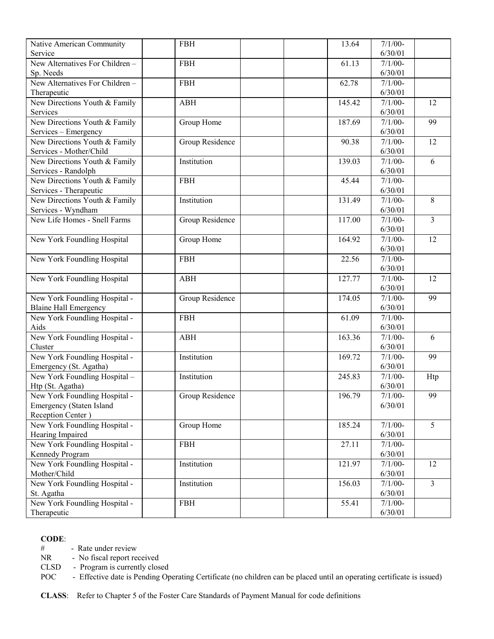| Native American Community       | <b>FBH</b>      | 13.64  | $7/1/00 -$ |                         |
|---------------------------------|-----------------|--------|------------|-------------------------|
| Service                         |                 |        | 6/30/01    |                         |
| New Alternatives For Children-  | <b>FBH</b>      | 61.13  | $7/1/00 -$ |                         |
| Sp. Needs                       |                 |        | 6/30/01    |                         |
| New Alternatives For Children - | <b>FBH</b>      | 62.78  | $7/1/00-$  |                         |
| Therapeutic                     |                 |        | 6/30/01    |                         |
| New Directions Youth & Family   | <b>ABH</b>      | 145.42 | $7/1/00-$  | 12                      |
| Services                        |                 |        | 6/30/01    |                         |
| New Directions Youth & Family   | Group Home      | 187.69 | $7/1/00-$  | 99                      |
| Services - Emergency            |                 |        | 6/30/01    |                         |
| New Directions Youth & Family   | Group Residence | 90.38  | $7/1/00-$  | 12                      |
| Services - Mother/Child         |                 |        | 6/30/01    |                         |
| New Directions Youth & Family   | Institution     | 139.03 | $7/1/00-$  | 6                       |
| Services - Randolph             |                 |        | 6/30/01    |                         |
| New Directions Youth & Family   | <b>FBH</b>      | 45.44  | $7/1/00-$  |                         |
| Services - Therapeutic          |                 |        | 6/30/01    |                         |
| New Directions Youth & Family   | Institution     | 131.49 | $7/1/00-$  | 8                       |
| Services - Wyndham              |                 |        | 6/30/01    |                         |
| New Life Homes - Snell Farms    | Group Residence | 117.00 | $7/1/00 -$ | $\overline{3}$          |
|                                 |                 |        | 6/30/01    |                         |
| New York Foundling Hospital     | Group Home      | 164.92 | $7/1/00-$  | 12                      |
|                                 |                 |        | 6/30/01    |                         |
| New York Foundling Hospital     | <b>FBH</b>      | 22.56  | $7/1/00-$  |                         |
|                                 |                 |        | 6/30/01    |                         |
| New York Foundling Hospital     | <b>ABH</b>      | 127.77 | $7/1/00-$  | 12                      |
|                                 |                 |        | 6/30/01    |                         |
| New York Foundling Hospital -   | Group Residence | 174.05 | $7/1/00-$  | 99                      |
| <b>Blaine Hall Emergency</b>    |                 |        | 6/30/01    |                         |
| New York Foundling Hospital -   | <b>FBH</b>      | 61.09  | $7/1/00 -$ |                         |
| Aids                            |                 |        | 6/30/01    |                         |
| New York Foundling Hospital -   | <b>ABH</b>      | 163.36 | $7/1/00 -$ | 6                       |
| Cluster                         |                 |        | 6/30/01    |                         |
| New York Foundling Hospital -   | Institution     | 169.72 | $7/1/00-$  | 99                      |
| Emergency (St. Agatha)          |                 |        | 6/30/01    |                         |
| New York Foundling Hospital -   | Institution     | 245.83 | $7/1/00-$  | Htp                     |
| Htp (St. Agatha)                |                 |        | 6/30/01    |                         |
| New York Foundling Hospital -   | Group Residence | 196.79 | $7/1/00-$  | 99                      |
| <b>Emergency</b> (Staten Island |                 |        | 6/30/01    |                         |
| Reception Center)               |                 |        |            |                         |
| New York Foundling Hospital -   | Group Home      | 185.24 | $7/1/00-$  | 5                       |
| Hearing Impaired                |                 |        | 6/30/01    |                         |
| New York Foundling Hospital -   | <b>FBH</b>      | 27.11  | $7/1/00-$  |                         |
| Kennedy Program                 |                 |        | 6/30/01    |                         |
| New York Foundling Hospital -   | Institution     | 121.97 | $7/1/00-$  | 12                      |
| Mother/Child                    |                 |        | 6/30/01    |                         |
| New York Foundling Hospital -   | Institution     | 156.03 | $7/1/00-$  | $\overline{\mathbf{3}}$ |
| St. Agatha                      |                 |        | 6/30/01    |                         |
| New York Foundling Hospital -   | <b>FBH</b>      | 55.41  | $7/1/00-$  |                         |
| Therapeutic                     |                 |        | 6/30/01    |                         |

# - Rate under review<br>NR - No fiscal report re

- No fiscal report received

CLSD - Program is currently closed

POC - Effective date is Pending Operating Certificate (no children can be placed until an operating certificate is issued)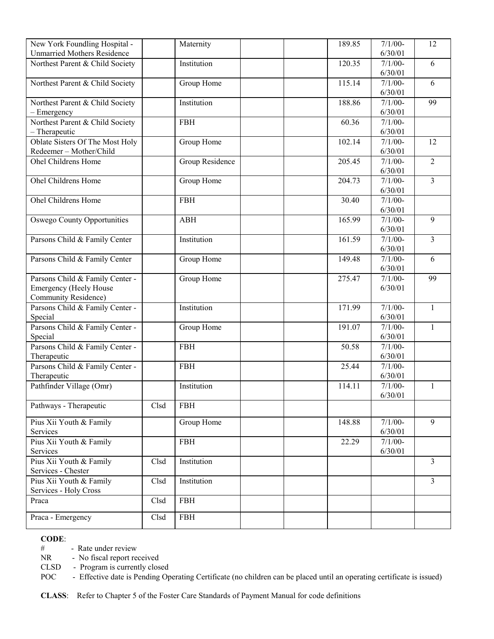| New York Foundling Hospital -       |      | Maternity       | 189.85 | $7/1/00-$            | 12             |
|-------------------------------------|------|-----------------|--------|----------------------|----------------|
| <b>Unmarried Mothers Residence</b>  |      |                 |        | 6/30/01              |                |
| Northest Parent & Child Society     |      | Institution     | 120.35 | $7/1/00-$            | 6              |
|                                     |      |                 |        | 6/30/01              |                |
| Northest Parent & Child Society     |      | Group Home      | 115.14 | $7/1/00 -$           | 6              |
|                                     |      |                 |        | 6/30/01              |                |
| Northest Parent & Child Society     |      | Institution     | 188.86 | $7/1/00-$            | 99             |
| - Emergency                         |      |                 |        | 6/30/01              |                |
| Northest Parent & Child Society     |      | <b>FBH</b>      | 60.36  | $7/1/00-$            |                |
| - Therapeutic                       |      |                 |        | 6/30/01              |                |
| Oblate Sisters Of The Most Holy     |      | Group Home      | 102.14 | $7/1/00-$            | 12             |
| Redeemer-Mother/Child               |      |                 |        | 6/30/01              |                |
| Ohel Childrens Home                 |      | Group Residence | 205.45 | $7/1/00-$            | $\overline{2}$ |
|                                     |      |                 |        | 6/30/01              |                |
| Ohel Childrens Home                 |      | Group Home      | 204.73 | $7/1/00-$            | $\overline{3}$ |
|                                     |      |                 |        | 6/30/01              |                |
| Ohel Childrens Home                 |      | <b>FBH</b>      | 30.40  | $7/1/00-$            |                |
|                                     |      |                 |        | 6/30/01              |                |
| <b>Oswego County Opportunities</b>  |      | <b>ABH</b>      | 165.99 | $7/1/00-$            | 9              |
|                                     |      |                 |        | 6/30/01              | $\overline{3}$ |
| Parsons Child & Family Center       |      | Institution     | 161.59 | $7/1/00-$<br>6/30/01 |                |
| Parsons Child & Family Center       |      | Group Home      | 149.48 | $7/1/00-$            | 6              |
|                                     |      |                 |        | 6/30/01              |                |
| Parsons Child & Family Center -     |      | Group Home      | 275.47 | $7/1/00-$            | 99             |
| <b>Emergency (Heely House</b>       |      |                 |        | 6/30/01              |                |
| <b>Community Residence)</b>         |      |                 |        |                      |                |
| Parsons Child & Family Center -     |      | Institution     | 171.99 | $7/1/00-$            | $\mathbf{1}$   |
| Special                             |      |                 |        | 6/30/01              |                |
| Parsons Child & Family Center -     |      | Group Home      | 191.07 | $7/1/00-$            | $\mathbf{1}$   |
| Special                             |      |                 |        | 6/30/01              |                |
| Parsons Child & Family Center -     |      | <b>FBH</b>      | 50.58  | $7/1/00-$            |                |
| Therapeutic                         |      |                 |        | 6/30/01              |                |
| Parsons Child & Family Center -     |      | <b>FBH</b>      | 25.44  | $7/1/00-$            |                |
| Therapeutic                         |      |                 |        | 6/30/01              |                |
| Pathfinder Village (Omr)            |      | Institution     | 114.11 | $7/1/00-$            | $\mathbf{1}$   |
|                                     |      |                 |        | 6/30/01              |                |
| Pathways - Therapeutic              | Clsd | <b>FBH</b>      |        |                      |                |
|                                     |      |                 |        |                      |                |
| Pius Xii Youth & Family             |      | Group Home      | 148.88 | $7/1/00 -$           | 9              |
| Services                            |      |                 |        | 6/30/01              |                |
| Pius Xii Youth & Family<br>Services |      | <b>FBH</b>      | 22.29  | $7/1/00-$<br>6/30/01 |                |
| Pius Xii Youth & Family             | Clsd | Institution     |        |                      | $\overline{3}$ |
| Services - Chester                  |      |                 |        |                      |                |
| Pius Xii Youth & Family             | Clsd | Institution     |        |                      | 3              |
| Services - Holy Cross               |      |                 |        |                      |                |
| Praca                               | Clsd | <b>FBH</b>      |        |                      |                |
|                                     |      |                 |        |                      |                |
| Praca - Emergency                   | Clsd | <b>FBH</b>      |        |                      |                |

# - Rate under review

NR - No fiscal report received

CLSD - Program is currently closed

POC - Effective date is Pending Operating Certificate (no children can be placed until an operating certificate is issued)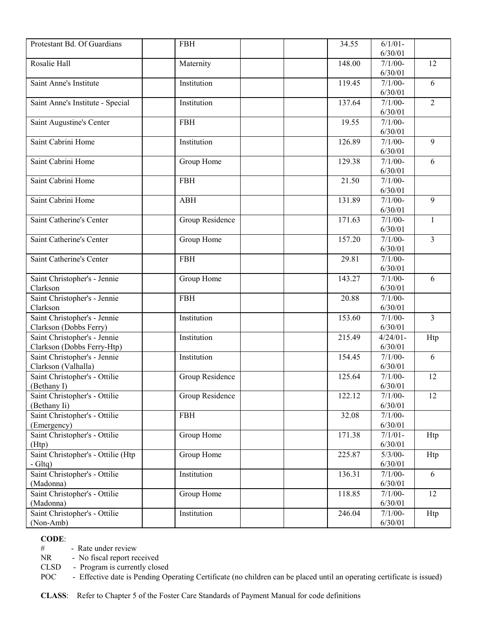| Protestant Bd. Of Guardians                | <b>FBH</b>      | 34.55  | $6/1/01 -$           |                |
|--------------------------------------------|-----------------|--------|----------------------|----------------|
|                                            |                 |        | 6/30/01              |                |
| Rosalie Hall                               | Maternity       | 148.00 | $7/1/00-$            | 12             |
|                                            |                 |        | 6/30/01              |                |
| Saint Anne's Institute                     | Institution     | 119.45 | $7/1/00-$            | 6              |
|                                            |                 |        | 6/30/01              |                |
| Saint Anne's Institute - Special           | Institution     | 137.64 | $7/1/00-$            | $\overline{2}$ |
|                                            |                 |        | 6/30/01              |                |
| Saint Augustine's Center                   | <b>FBH</b>      | 19.55  | $7/1/00-$            |                |
|                                            |                 |        | 6/30/01              |                |
| Saint Cabrini Home                         | Institution     | 126.89 | $7/1/00-$            | 9              |
|                                            |                 |        | 6/30/01              |                |
| Saint Cabrini Home                         | Group Home      | 129.38 | $7/1/00-$            | 6              |
|                                            |                 |        | 6/30/01              |                |
| Saint Cabrini Home                         | <b>FBH</b>      | 21.50  | $7/1/00-$            |                |
|                                            |                 |        | 6/30/01              |                |
| Saint Cabrini Home                         | <b>ABH</b>      | 131.89 | $7/1/00-$            | 9              |
|                                            |                 |        | 6/30/01              |                |
| Saint Catherine's Center                   | Group Residence | 171.63 | $7/1/00-$            | 1              |
|                                            |                 |        | 6/30/01              |                |
| Saint Catherine's Center                   | Group Home      | 157.20 | $7/1/00-$            | $\overline{3}$ |
|                                            |                 |        | 6/30/01              |                |
| Saint Catherine's Center                   | <b>FBH</b>      | 29.81  | $7/1/00-$            |                |
|                                            |                 |        | 6/30/01              |                |
| Saint Christopher's - Jennie               | Group Home      | 143.27 | $7/1/00-$            | 6              |
| Clarkson                                   |                 |        | 6/30/01              |                |
| Saint Christopher's - Jennie               | <b>FBH</b>      | 20.88  | $7/1/00 -$           |                |
| Clarkson                                   |                 |        | 6/30/01              |                |
| Saint Christopher's - Jennie               | Institution     | 153.60 | $7/1/00-$            | $\overline{3}$ |
| Clarkson (Dobbs Ferry)                     |                 |        | 6/30/01              |                |
| Saint Christopher's - Jennie               | Institution     | 215.49 | $4/24/01-$           | Htp            |
| Clarkson (Dobbs Ferry-Htp)                 |                 |        | 6/30/01              |                |
| Saint Christopher's - Jennie               | Institution     | 154.45 | $7/1/00-$            | 6              |
| Clarkson (Valhalla)                        |                 |        | 6/30/01              |                |
| Saint Christopher's - Ottilie              | Group Residence | 125.64 | $7/1/00-$            | 12             |
| (Bethany I)                                |                 |        | 6/30/01              |                |
| Saint Christopher's - Ottilie              | Group Residence | 122.12 | $7/1/00-$            | 12             |
| (Bethany Ii)                               |                 |        | 6/30/01              |                |
| Saint Christopher's - Ottilie              | <b>FBH</b>      | 32.08  | $7/1/00 -$           |                |
| (Emergency)                                |                 |        | 6/30/01              |                |
| Saint Christopher's - Ottilie              | Group Home      | 171.38 | $7/1/01 -$           | Htp            |
| (Htp)                                      |                 |        | 6/30/01              |                |
| Saint Christopher's - Ottilie (Htp         | Group Home      | 225.87 | $5/3/00-$<br>6/30/01 | Htp            |
| $-Gltq)$                                   | Institution     |        |                      | 6              |
| Saint Christopher's - Ottilie              |                 | 136.31 | $7/1/00-$            |                |
| (Madonna)<br>Saint Christopher's - Ottilie |                 | 118.85 | 6/30/01              | 12             |
| (Madonna)                                  | Group Home      |        | $7/1/00-$<br>6/30/01 |                |
| Saint Christopher's - Ottilie              | Institution     | 246.04 | $7/1/00-$            |                |
| (Non-Amb)                                  |                 |        | 6/30/01              | Htp            |
|                                            |                 |        |                      |                |

# - Rate under review<br>NR - No fiscal report re

- No fiscal report received

CLSD - Program is currently closed

POC - Effective date is Pending Operating Certificate (no children can be placed until an operating certificate is issued)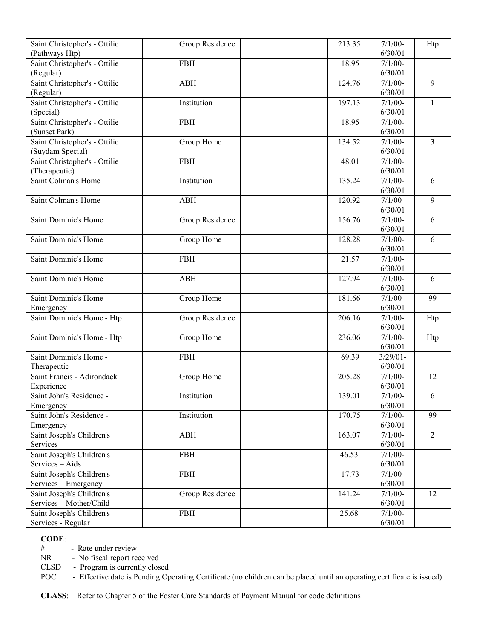| Saint Christopher's - Ottilie | Group Residence | 213.35 | $7/1/00-$   | Htp            |
|-------------------------------|-----------------|--------|-------------|----------------|
| (Pathways Htp)                |                 |        | 6/30/01     |                |
| Saint Christopher's - Ottilie | <b>FBH</b>      | 18.95  | $7/1/00 -$  |                |
| (Regular)                     |                 |        | 6/30/01     |                |
| Saint Christopher's - Ottilie | <b>ABH</b>      | 124.76 | $7/1/00-$   | 9              |
| (Regular)                     |                 |        | 6/30/01     |                |
| Saint Christopher's - Ottilie | Institution     | 197.13 | $7/1/00-$   | 1              |
| (Special)                     |                 |        | 6/30/01     |                |
| Saint Christopher's - Ottilie | <b>FBH</b>      | 18.95  | $7/1/00-$   |                |
| (Sunset Park)                 |                 |        | 6/30/01     |                |
| Saint Christopher's - Ottilie | Group Home      | 134.52 | $7/1/00-$   | $\overline{3}$ |
| (Suydam Special)              |                 |        | 6/30/01     |                |
| Saint Christopher's - Ottilie | <b>FBH</b>      | 48.01  | $7/1/00-$   |                |
| (Therapeutic)                 |                 |        | 6/30/01     |                |
| Saint Colman's Home           | Institution     | 135.24 | $7/1/00-$   | 6              |
|                               |                 |        | 6/30/01     |                |
| Saint Colman's Home           | <b>ABH</b>      | 120.92 | $7/1/00-$   | 9              |
|                               |                 |        | 6/30/01     |                |
| Saint Dominic's Home          | Group Residence | 156.76 | $7/1/00-$   | 6              |
|                               |                 |        | 6/30/01     |                |
| Saint Dominic's Home          | Group Home      | 128.28 | $7/1/00-$   | 6              |
|                               |                 |        | 6/30/01     |                |
| Saint Dominic's Home          | <b>FBH</b>      | 21.57  | $7/1/00-$   |                |
|                               |                 |        | 6/30/01     |                |
| Saint Dominic's Home          | <b>ABH</b>      | 127.94 | $7/1/00-$   | 6              |
|                               |                 |        | 6/30/01     |                |
| Saint Dominic's Home -        | Group Home      | 181.66 | $7/1/00-$   | 99             |
| Emergency                     |                 |        | 6/30/01     |                |
| Saint Dominic's Home - Htp    | Group Residence | 206.16 | $7/1/00-$   | Htp            |
|                               |                 |        | 6/30/01     |                |
| Saint Dominic's Home - Htp    | Group Home      | 236.06 | $7/1/00-$   | Htp            |
|                               |                 |        | 6/30/01     |                |
| Saint Dominic's Home -        | <b>FBH</b>      | 69.39  | $3/29/01$ - |                |
| Therapeutic                   |                 |        | 6/30/01     |                |
| Saint Francis - Adirondack    | Group Home      | 205.28 | $7/1/00-$   | 12             |
| Experience                    |                 |        | 6/30/01     |                |
| Saint John's Residence -      | Institution     | 139.01 | $7/1/00 -$  | 6              |
| Emergency                     |                 |        | 6/30/01     |                |
| Saint John's Residence -      | Institution     | 170.75 | $7/1/00-$   | 99             |
| Emergency                     |                 |        | 6/30/01     |                |
| Saint Joseph's Children's     | <b>ABH</b>      | 163.07 | $7/1/00-$   | $\overline{2}$ |
| Services                      |                 |        | 6/30/01     |                |
| Saint Joseph's Children's     | <b>FBH</b>      | 46.53  | $7/1/00-$   |                |
| Services - Aids               |                 |        | 6/30/01     |                |
| Saint Joseph's Children's     | <b>FBH</b>      | 17.73  | $7/1/00 -$  |                |
| Services - Emergency          |                 |        | 6/30/01     |                |
| Saint Joseph's Children's     | Group Residence | 141.24 | $7/1/00-$   | 12             |
| Services - Mother/Child       |                 |        | 6/30/01     |                |
| Saint Joseph's Children's     | <b>FBH</b>      | 25.68  | $7/1/00-$   |                |
| Services - Regular            |                 |        | 6/30/01     |                |

# - Rate under review<br>NR - No fiscal report re

- No fiscal report received

CLSD - Program is currently closed

POC - Effective date is Pending Operating Certificate (no children can be placed until an operating certificate is issued)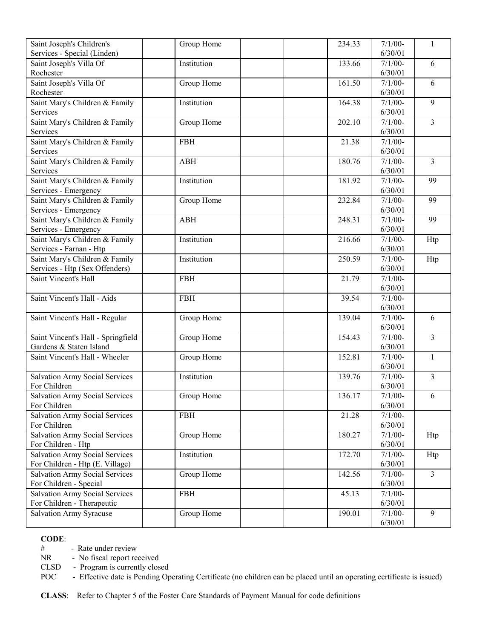| Saint Joseph's Children's             | Group Home  | 234.33 | $7/1/00-$ | 1              |
|---------------------------------------|-------------|--------|-----------|----------------|
| Services - Special (Linden)           |             |        | 6/30/01   |                |
| Saint Joseph's Villa Of               | Institution | 133.66 | $7/1/00-$ | 6              |
| Rochester                             |             |        | 6/30/01   |                |
| Saint Joseph's Villa Of               | Group Home  | 161.50 | $7/1/00-$ | 6              |
| Rochester                             |             |        | 6/30/01   |                |
| Saint Mary's Children & Family        | Institution | 164.38 | $7/1/00-$ | 9              |
| Services                              |             |        | 6/30/01   |                |
| Saint Mary's Children & Family        | Group Home  | 202.10 | $7/1/00-$ | $\overline{3}$ |
| Services                              |             |        | 6/30/01   |                |
| Saint Mary's Children & Family        | <b>FBH</b>  | 21.38  | $7/1/00-$ |                |
| Services                              |             |        | 6/30/01   |                |
| Saint Mary's Children & Family        | <b>ABH</b>  | 180.76 | $7/1/00-$ | $\overline{3}$ |
| Services                              |             |        | 6/30/01   |                |
| Saint Mary's Children & Family        | Institution | 181.92 | $7/1/00-$ | 99             |
| Services - Emergency                  |             |        | 6/30/01   |                |
| Saint Mary's Children & Family        | Group Home  | 232.84 | $7/1/00-$ | 99             |
| Services - Emergency                  |             |        | 6/30/01   |                |
| Saint Mary's Children & Family        | <b>ABH</b>  | 248.31 | $7/1/00-$ | 99             |
| Services - Emergency                  |             |        | 6/30/01   |                |
| Saint Mary's Children & Family        | Institution | 216.66 | $7/1/00-$ | Htp            |
| Services - Farnan - Htp               |             |        | 6/30/01   |                |
| Saint Mary's Children & Family        | Institution | 250.59 | $7/1/00-$ | Htp            |
| Services - Htp (Sex Offenders)        |             |        | 6/30/01   |                |
| Saint Vincent's Hall                  | <b>FBH</b>  | 21.79  | $7/1/00-$ |                |
|                                       |             |        | 6/30/01   |                |
| Saint Vincent's Hall - Aids           | <b>FBH</b>  | 39.54  | $7/1/00-$ |                |
|                                       |             |        | 6/30/01   |                |
| Saint Vincent's Hall - Regular        | Group Home  | 139.04 | $7/1/00-$ | 6              |
|                                       |             |        | 6/30/01   |                |
| Saint Vincent's Hall - Springfield    | Group Home  | 154.43 | $7/1/00-$ | $\overline{3}$ |
| Gardens & Staten Island               |             |        | 6/30/01   |                |
| Saint Vincent's Hall - Wheeler        | Group Home  | 152.81 | $7/1/00-$ | $\mathbf{1}$   |
|                                       |             |        | 6/30/01   |                |
| <b>Salvation Army Social Services</b> | Institution | 139.76 | $7/1/00-$ | $\overline{3}$ |
| For Children                          |             |        | 6/30/01   |                |
| <b>Salvation Army Social Services</b> | Group Home  | 136.17 | $7/1/00-$ | $\sqrt{6}$     |
| For Children                          |             |        | 6/30/01   |                |
| <b>Salvation Army Social Services</b> | <b>FBH</b>  | 21.28  | $7/1/00-$ |                |
| For Children                          |             |        | 6/30/01   |                |
| <b>Salvation Army Social Services</b> | Group Home  | 180.27 | $7/1/00-$ | Htp            |
| For Children - Htp                    |             |        | 6/30/01   |                |
| <b>Salvation Army Social Services</b> | Institution | 172.70 | $7/1/00-$ | Htp            |
| For Children - Htp (E. Village)       |             |        | 6/30/01   |                |
| <b>Salvation Army Social Services</b> | Group Home  | 142.56 | $7/1/00-$ | $\overline{3}$ |
| For Children - Special                |             |        | 6/30/01   |                |
| <b>Salvation Army Social Services</b> | <b>FBH</b>  | 45.13  | $7/1/00-$ |                |
| For Children - Therapeutic            |             |        | 6/30/01   |                |
| <b>Salvation Army Syracuse</b>        | Group Home  | 190.01 | $7/1/00-$ | $\mathfrak{g}$ |
|                                       |             |        | 6/30/01   |                |

# - Rate under review

NR - No fiscal report received

CLSD - Program is currently closed

POC - Effective date is Pending Operating Certificate (no children can be placed until an operating certificate is issued)